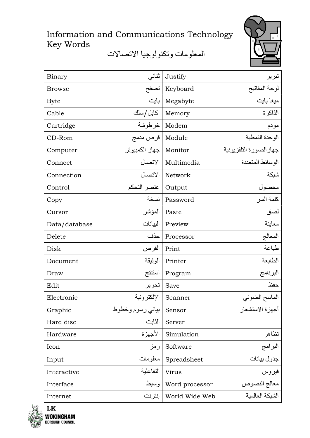## Information and Communications Technology Key Words

المعلومات وتكنولوجيا الاتصالات



| Binary        | ثنائى                | Justify         | تبرير                           |
|---------------|----------------------|-----------------|---------------------------------|
| <b>Browse</b> | تصفح                 | Keyboard        | لوحة المفاتيح                   |
| <b>Byte</b>   | بايت                 | Megabyte        | ميغا بايت                       |
| Cable         | كابل / سلك           | Memory          | الذاكرة                         |
| Cartridge     |                      | Modem   خرطوشة  | مودم                            |
| CD-Rom        | Module   قرص مدمج    |                 | الوحدة النمطية                  |
| Computer      | جهاز الكمبيوتر       | Monitor         | جهاز الصورة التلفزيونية         |
| Connect       | الاتصال              | Multimedia      | الو سائط المتعددة               |
| Connection    | الاتصال              | Network         | شبكة                            |
| Control       | Output   عنصر التحكم |                 | محصول                           |
| Copy          |                      | Password   نسخة | كلمة السر                       |
| Cursor        | المؤشر               | Paste           | لصق                             |
| Data/database | البيانات             | Preview         | معاينة                          |
| Delete        | حذف                  | Processor       | المعالج                         |
| Disk          | القرص                | Print           | طباعة                           |
| Document      | الوثيقة              | Printer         | الطابعة                         |
| Draw          | استنتج               | Program         | البرنامج                        |
| Edit          | تحرير                | Save            | حفظ                             |
| Electronic    | الإلكتر ونية         | Scanner         | الماسح الضوئي                   |
| Graphic       | بياني رسوم وخطوط     | Sensor          | أجهز ة الاستشعار                |
| Hard disc     | الثابت               | Server          |                                 |
| Hardware      | الأجهزة              | Simulation      | تظاهر                           |
| Icon          | رمز                  | Software        | البرامج                         |
| Input         | معلومات              | Spreadsheet     | جدول بيانات                     |
| Interactive   | التفاعلية            | Virus           | فيروس                           |
| Interface     | وسيط                 | Word processor  | معالج النصوص<br>الشبكة العالمية |
| Internet      | إنترنت               | World Wide Web  |                                 |